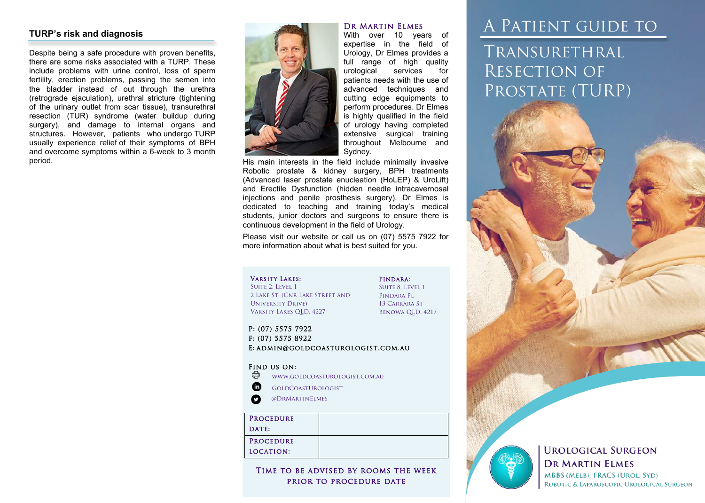#### **TURP's risk and diagnosis**

Despite being a safe procedure with proven benefits, there are some risks associated with a TURP. These include problems with urine control, loss of sperm fertility, erection problems, passing the semen into the bladder instead of out through the urethra (retrograde ejaculation), urethral stricture (tightening of the urinary outlet from scar tissue), transurethral resection (TUR) syndrome (water buildup during surgery), and damage to internal organs and structures. However, patients who undergo TURP usually experience relief of their symptoms of BPH and overcome symptoms within a 6-week to 3 month period.



With over 10 years of expertise in the field of Urology, Dr Elmes provides a full range of high quality<br>urological services for urological services for patients needs with the use of advanced techniques and cutting edge equipments to perform procedures. Dr Elmes is highly qualified in the field of urology having completed extensive surgical training throughout Melbourne and Sydney.

His main interests in the field include minimally invasive Robotic prostate & kidney surgery, BPH treatments (Advanced laser prostate enucleation (HoLEP) & UroLift) and Erectile Dysfunction (hidden needle intracavernosal injections and penile prosthesis surgery). Dr Elmes is dedicated to teaching and training today's medical students, junior doctors and surgeons to ensure there is continuous development in the field of Urology.

Please visit our website or call us on (07) 5575 7922 for more information about what is best suited for you.

#### Varsity Lakes:

SUITE 2, LEVEL 1 2 Lake St, (Cnr Lake Street and University Drive) Varsity Lakes QLD, 4227

SUITE 8, LEVEL 1 Pindara Pl 13 Carrara St Benowa QLD, 4217

Pindara:

P: (07) 5575 7922 F: (07) 5575 8922 E: admin@goldcoasturologist.com.au

#### Find us on:

⊕ www.goldcoasturologist.com.au

- ⊕ GoldCoastUrologist
- $\boldsymbol{\Omega}$ @DrMartinElmes

#### Time to be advised by rooms the week prior to procedure date

#### DR MARTIN ELMES

# A Patient guide to Transurethral Resection of

PROSTATE (TURP)





#### **UROLOGICAL SURGEON DR MARTIN ELMES MBBS (MELB). FRACS (UROL. SYD)** ROBOTIC & LAPAROSCOPIC UROLOGICAL SURGEON